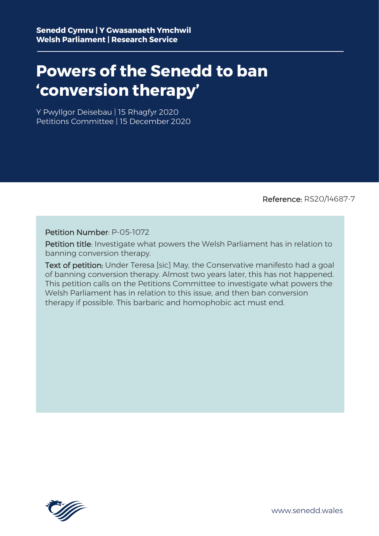## **Powers of the Senedd to ban 'conversion therapy'**

Y Pwyllgor Deisebau | 15 Rhagfyr 2020 Petitions Committee | 15 December 2020

Reference: RS20/14687-7

## Petition Number: P-05-1072

Petition title: Investigate what powers the Welsh Parliament has in relation to banning conversion therapy.

Text of petition: Under Teresa [sic] May, the Conservative manifesto had a goal of banning conversion therapy. Almost two years later, this has not happened. This petition calls on the Petitions Committee to investigate what powers the Welsh Parliament has in relation to this issue, and then ban conversion therapy if possible. This barbaric and homophobic act must end.



www.senedd.wales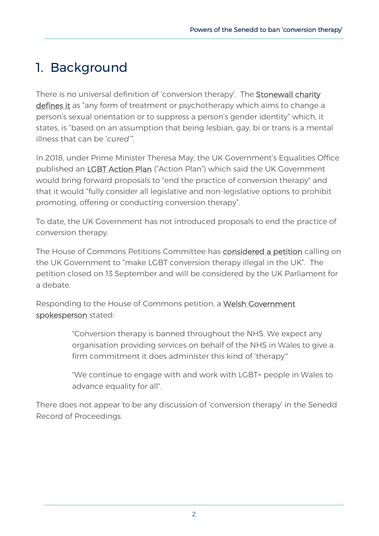## 1. Background

There is no universal definition of 'conversion therapy'. The [Stonewall charity](https://www.stonewall.org.uk/campaign-groups/conversion-therapy)  [defines it](https://www.stonewall.org.uk/campaign-groups/conversion-therapy) as "any form of treatment or psychotherapy which aims to change a person's sexual orientation or to suppress a person's gender identity" which, it states, is "based on an assumption that being lesbian, gay, bi or trans is a mental illness that can be '*cured'"*.

In 2018, under Prime Minister Theresa May, the UK Government's Equalities Office published an [LGBT Action Plan](https://assets.publishing.service.gov.uk/government/uploads/system/uploads/attachment_data/file/721367/GEO-LGBT-Action-Plan.pdf) ("Action Plan") which said the UK Government would bring forward proposals to "end the practice of conversion therapy" and that it would "fully consider all legislative and non-legislative options to prohibit promoting, offering or conducting conversion therapy".

To date, the UK Government has not introduced proposals to end the practice of conversion therapy.

The House of Commons Petitions Committee has [considered a petition](https://petition.parliament.uk/petitions/300976) calling on the UK Government to "make LGBT conversion therapy illegal in the UK". The petition closed on 13 September and will be considered by the UK Parliament for a debate.

Responding to the House of Commons petition, a [Welsh Government](https://www.walesonline.co.uk/news/wales-news/uk-government-tweet-over-lgbt-18554105)  [spokesperson](https://www.walesonline.co.uk/news/wales-news/uk-government-tweet-over-lgbt-18554105) stated:

> "Conversion therapy is banned throughout the NHS. We expect any organisation providing services on behalf of the NHS in Wales to give a firm commitment it does administer this kind of 'therapy'"

> "We continue to engage with and work with LGBT+ people in Wales to advance equality for all".

There does not appear to be any discussion of 'conversion therapy' in the Senedd Record of Proceedings.